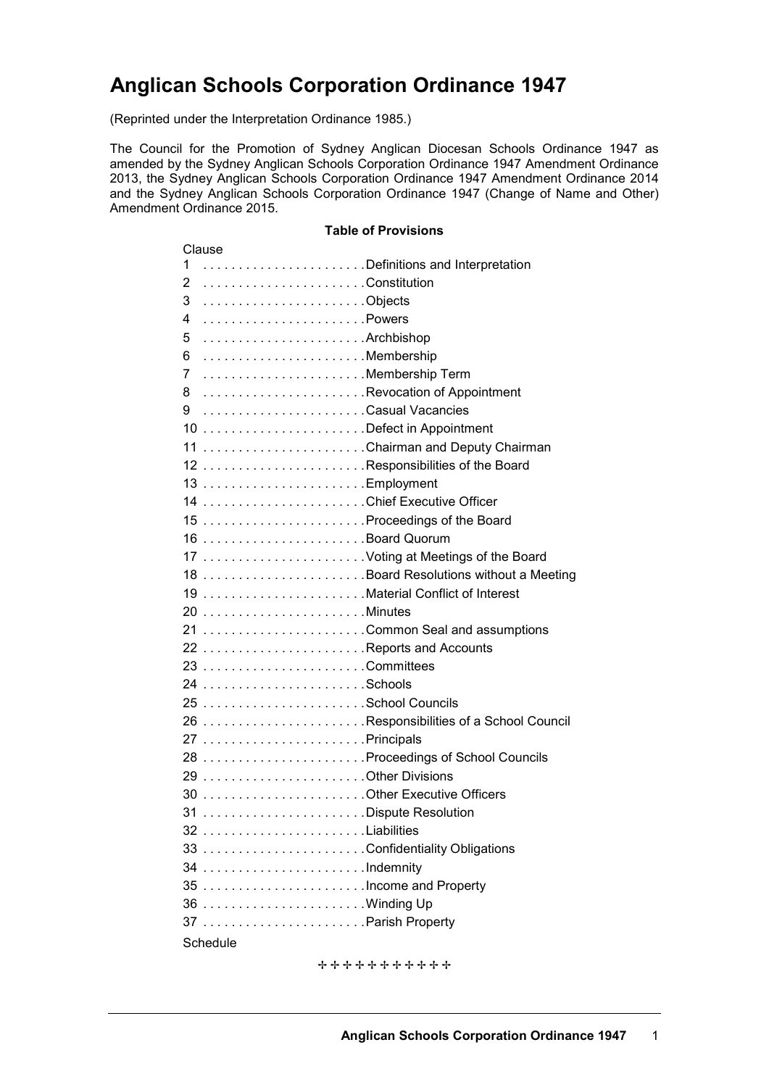# **Anglican Schools Corporation Ordinance 1947**

(Reprinted under the Interpretation Ordinance 1985.)

The Council for the Promotion of Sydney Anglican Diocesan Schools Ordinance 1947 as amended by the Sydney Anglican Schools Corporation Ordinance 1947 Amendment Ordinance 2013, the Sydney Anglican Schools Corporation Ordinance 1947 Amendment Ordinance 2014 and the Sydney Anglican Schools Corporation Ordinance 1947 (Change of Name and Other) Amendment Ordinance 2015.

#### **Table of Provisions**

| Clause                              |                                         |
|-------------------------------------|-----------------------------------------|
| Definitions and Interpretation<br>1 |                                         |
| 2                                   |                                         |
| 3<br>Objects                        |                                         |
| Powers<br>4                         |                                         |
| Archbishop<br>5                     |                                         |
| Membership<br>6                     |                                         |
| Membership Term<br>7                |                                         |
| 8 Revocation of Appointment         |                                         |
| Casual Vacancies<br>9               |                                         |
|                                     |                                         |
| 11 Chairman and Deputy Chairman     |                                         |
| 12 Responsibilities of the Board    |                                         |
|                                     |                                         |
|                                     |                                         |
|                                     |                                         |
| 16 Board Quorum                     |                                         |
| 17 Voting at Meetings of the Board  |                                         |
|                                     | 18 Board Resolutions without a Meeting  |
| 19 Material Conflict of Interest    |                                         |
|                                     |                                         |
| 21 Common Seal and assumptions      |                                         |
| 22 Reports and Accounts             |                                         |
|                                     |                                         |
|                                     |                                         |
|                                     |                                         |
|                                     | 26 Responsibilities of a School Council |
|                                     |                                         |
|                                     |                                         |
|                                     |                                         |
|                                     |                                         |
| 31 Dispute Resolution               |                                         |
| 32 Liabilities                      |                                         |
| 33 Confidentiality Obligations      |                                         |
|                                     |                                         |
|                                     |                                         |
|                                     |                                         |
|                                     |                                         |
| Schedule                            |                                         |
|                                     |                                         |

\*\*\*\*\*\*\*\*\*\*\*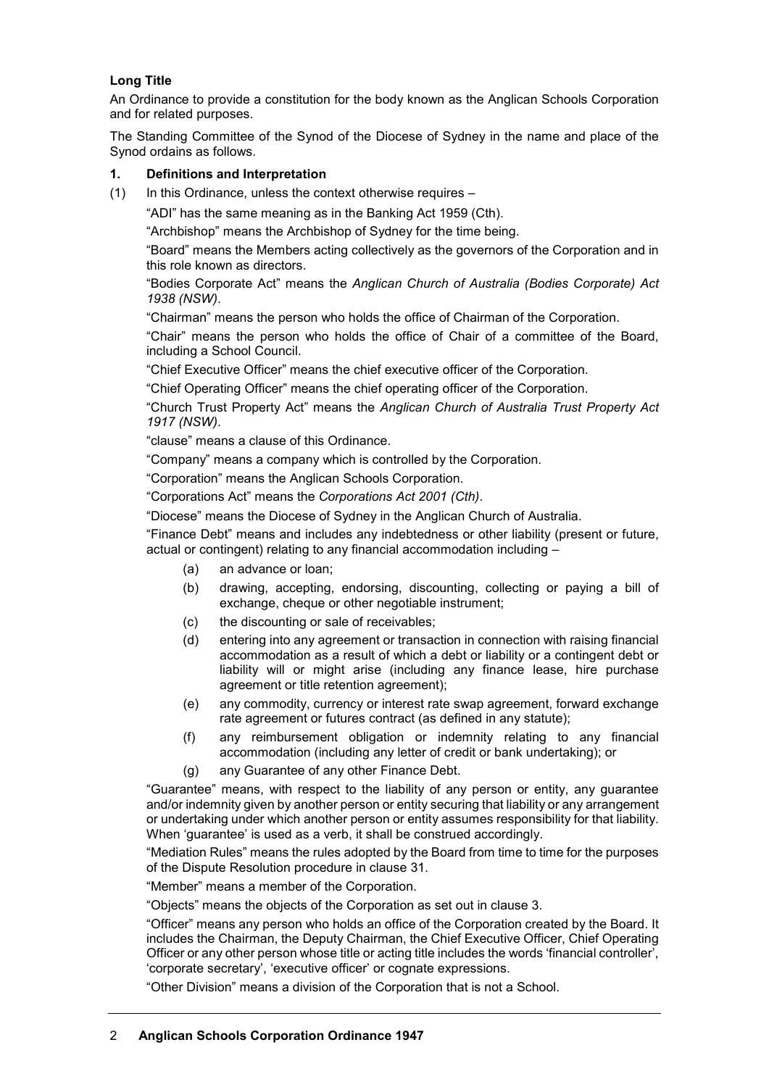## **Long Title**

An Ordinance to provide a constitution for the body known as the Anglican Schools Corporation and for related purposes.

The Standing Committee of the Synod of the Diocese of Sydney in the name and place of the Synod ordains as follows.

#### **1. Definitions and Interpretation**

(1) In this Ordinance, unless the context otherwise requires –

"ADI" has the same meaning as in the Banking Act 1959 (Cth).

"Archbishop" means the Archbishop of Sydney for the time being.

"Board" means the Members acting collectively as the governors of the Corporation and in this role known as directors.

"Bodies Corporate Act" means the *Anglican Church of Australia (Bodies Corporate) Act 1938 (NSW)*.

"Chairman" means the person who holds the office of Chairman of the Corporation.

"Chair" means the person who holds the office of Chair of a committee of the Board, including a School Council.

"Chief Executive Officer" means the chief executive officer of the Corporation.

"Chief Operating Officer" means the chief operating officer of the Corporation.

"Church Trust Property Act" means the *Anglican Church of Australia Trust Property Act 1917 (NSW)*.

"clause" means a clause of this Ordinance.

"Company" means a company which is controlled by the Corporation.

"Corporation" means the Anglican Schools Corporation.

"Corporations Act" means the *Corporations Act 2001 (Cth)*.

"Diocese" means the Diocese of Sydney in the Anglican Church of Australia.

"Finance Debt" means and includes any indebtedness or other liability (present or future, actual or contingent) relating to any financial accommodation including –

- (a) an advance or loan;
- (b) drawing, accepting, endorsing, discounting, collecting or paying a bill of exchange, cheque or other negotiable instrument;
- (c) the discounting or sale of receivables;
- (d) entering into any agreement or transaction in connection with raising financial accommodation as a result of which a debt or liability or a contingent debt or liability will or might arise (including any finance lease, hire purchase agreement or title retention agreement);
- (e) any commodity, currency or interest rate swap agreement, forward exchange rate agreement or futures contract (as defined in any statute);
- (f) any reimbursement obligation or indemnity relating to any financial accommodation (including any letter of credit or bank undertaking); or
- (g) any Guarantee of any other Finance Debt.

"Guarantee" means, with respect to the liability of any person or entity, any guarantee and/or indemnity given by another person or entity securing that liability or any arrangement or undertaking under which another person or entity assumes responsibility for that liability. When 'guarantee' is used as a verb, it shall be construed accordingly.

"Mediation Rules" means the rules adopted by the Board from time to time for the purposes of the Dispute Resolution procedure in clause 31.

"Member" means a member of the Corporation.

"Objects" means the objects of the Corporation as set out in clause 3.

"Officer" means any person who holds an office of the Corporation created by the Board. It includes the Chairman, the Deputy Chairman, the Chief Executive Officer, Chief Operating Officer or any other person whose title or acting title includes the words 'financial controller', 'corporate secretary', 'executive officer' or cognate expressions.

"Other Division" means a division of the Corporation that is not a School.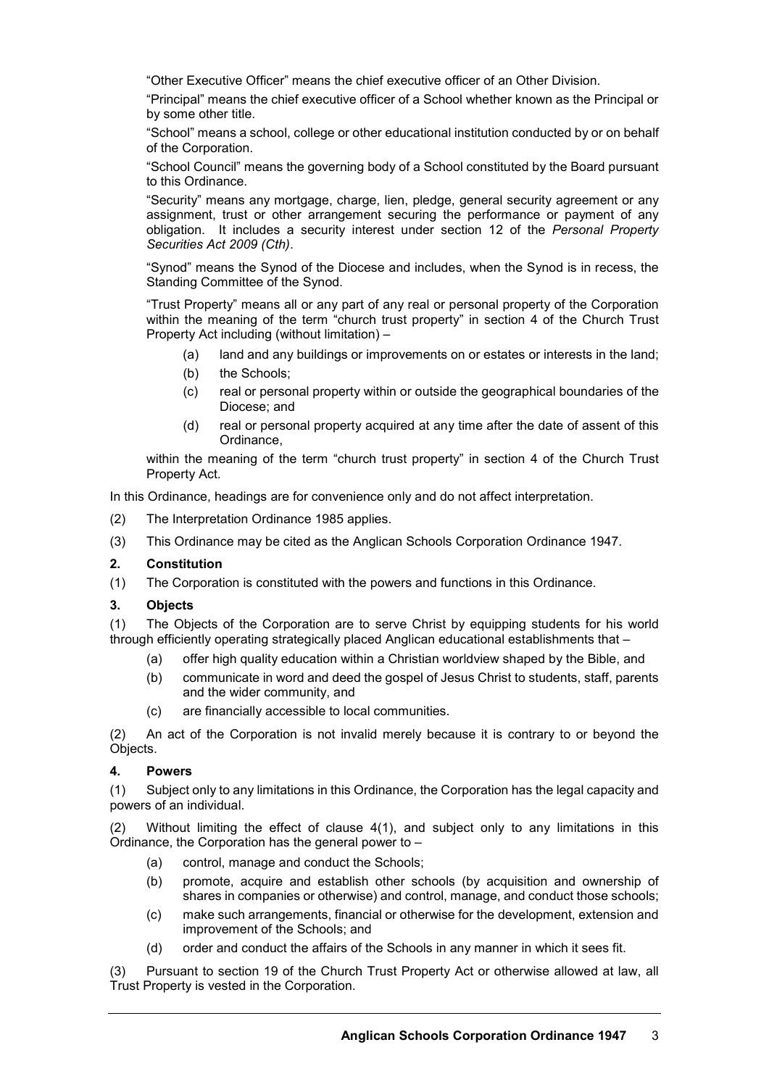"Other Executive Officer" means the chief executive officer of an Other Division.

"Principal" means the chief executive officer of a School whether known as the Principal or by some other title.

"School" means a school, college or other educational institution conducted by or on behalf of the Corporation.

"School Council" means the governing body of a School constituted by the Board pursuant to this Ordinance.

"Security" means any mortgage, charge, lien, pledge, general security agreement or any assignment, trust or other arrangement securing the performance or payment of any obligation. It includes a security interest under section 12 of the *Personal Property Securities Act 2009 (Cth)*.

"Synod" means the Synod of the Diocese and includes, when the Synod is in recess, the Standing Committee of the Synod.

"Trust Property" means all or any part of any real or personal property of the Corporation within the meaning of the term "church trust property" in section 4 of the Church Trust Property Act including (without limitation) –

- (a) land and any buildings or improvements on or estates or interests in the land;
- (b) the Schools;
- (c) real or personal property within or outside the geographical boundaries of the Diocese; and
- (d) real or personal property acquired at any time after the date of assent of this Ordinance,

within the meaning of the term "church trust property" in section 4 of the Church Trust Property Act.

In this Ordinance, headings are for convenience only and do not affect interpretation.

- (2) The Interpretation Ordinance 1985 applies.
- (3) This Ordinance may be cited as the Anglican Schools Corporation Ordinance 1947.

#### **2. Constitution**

(1) The Corporation is constituted with the powers and functions in this Ordinance.

#### **3. Objects**

(1) The Objects of the Corporation are to serve Christ by equipping students for his world through efficiently operating strategically placed Anglican educational establishments that –

- (a) offer high quality education within a Christian worldview shaped by the Bible, and
- (b) communicate in word and deed the gospel of Jesus Christ to students, staff, parents and the wider community, and
- (c) are financially accessible to local communities.

(2) An act of the Corporation is not invalid merely because it is contrary to or beyond the Objects.

#### **4. Powers**

(1) Subject only to any limitations in this Ordinance, the Corporation has the legal capacity and powers of an individual.

(2) Without limiting the effect of clause 4(1), and subject only to any limitations in this Ordinance, the Corporation has the general power to –

- (a) control, manage and conduct the Schools;
- (b) promote, acquire and establish other schools (by acquisition and ownership of shares in companies or otherwise) and control, manage, and conduct those schools;
- (c) make such arrangements, financial or otherwise for the development, extension and improvement of the Schools; and
- (d) order and conduct the affairs of the Schools in any manner in which it sees fit.

(3) Pursuant to section 19 of the Church Trust Property Act or otherwise allowed at law, all Trust Property is vested in the Corporation.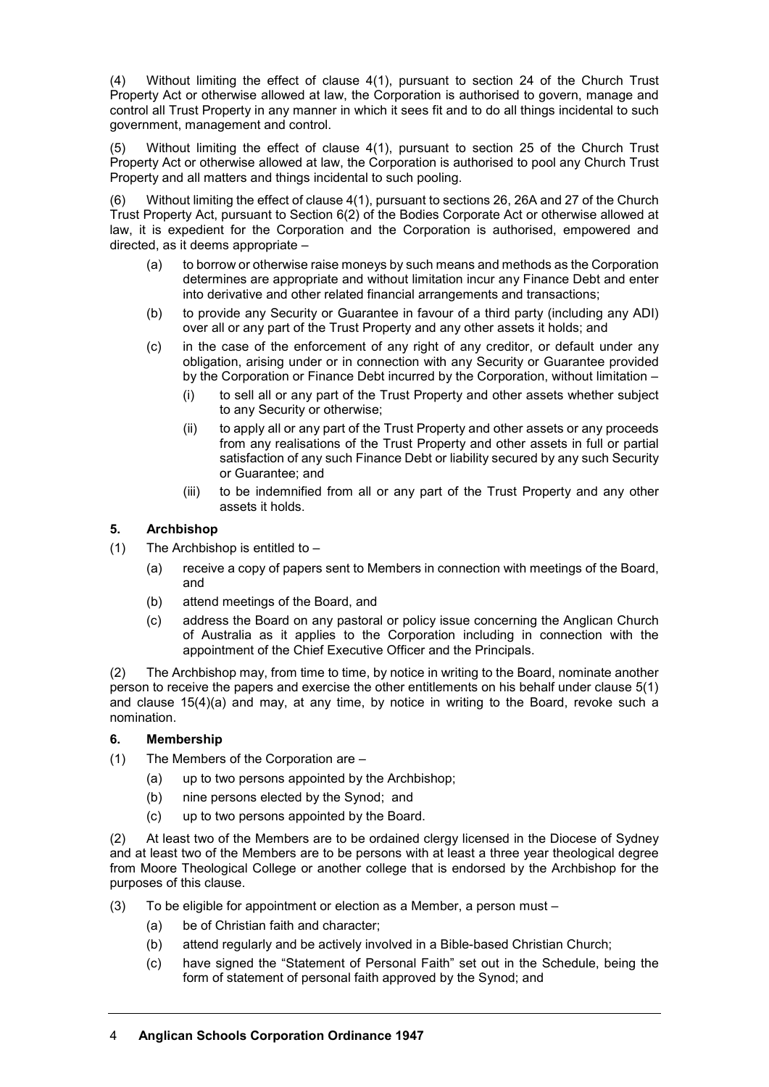(4) Without limiting the effect of clause 4(1), pursuant to section 24 of the Church Trust Property Act or otherwise allowed at law, the Corporation is authorised to govern, manage and control all Trust Property in any manner in which it sees fit and to do all things incidental to such government, management and control.

(5) Without limiting the effect of clause 4(1), pursuant to section 25 of the Church Trust Property Act or otherwise allowed at law, the Corporation is authorised to pool any Church Trust Property and all matters and things incidental to such pooling.

(6) Without limiting the effect of clause 4(1), pursuant to sections 26, 26A and 27 of the Church Trust Property Act, pursuant to Section 6(2) of the Bodies Corporate Act or otherwise allowed at law, it is expedient for the Corporation and the Corporation is authorised, empowered and directed, as it deems appropriate –

- (a) to borrow or otherwise raise moneys by such means and methods as the Corporation determines are appropriate and without limitation incur any Finance Debt and enter into derivative and other related financial arrangements and transactions;
- (b) to provide any Security or Guarantee in favour of a third party (including any ADI) over all or any part of the Trust Property and any other assets it holds; and
- (c) in the case of the enforcement of any right of any creditor, or default under any obligation, arising under or in connection with any Security or Guarantee provided by the Corporation or Finance Debt incurred by the Corporation, without limitation –
	- (i) to sell all or any part of the Trust Property and other assets whether subject to any Security or otherwise;
	- (ii) to apply all or any part of the Trust Property and other assets or any proceeds from any realisations of the Trust Property and other assets in full or partial satisfaction of any such Finance Debt or liability secured by any such Security or Guarantee; and
	- (iii) to be indemnified from all or any part of the Trust Property and any other assets it holds.

# **5. Archbishop**

- (1) The Archbishop is entitled to  $-$ 
	- (a) receive a copy of papers sent to Members in connection with meetings of the Board, and
	- (b) attend meetings of the Board, and
	- (c) address the Board on any pastoral or policy issue concerning the Anglican Church of Australia as it applies to the Corporation including in connection with the appointment of the Chief Executive Officer and the Principals.

(2) The Archbishop may, from time to time, by notice in writing to the Board, nominate another person to receive the papers and exercise the other entitlements on his behalf under clause 5(1) and clause 15(4)(a) and may, at any time, by notice in writing to the Board, revoke such a nomination.

#### **6. Membership**

(1) The Members of the Corporation are –

- (a) up to two persons appointed by the Archbishop;
- (b) nine persons elected by the Synod; and
- (c) up to two persons appointed by the Board.

(2) At least two of the Members are to be ordained clergy licensed in the Diocese of Sydney and at least two of the Members are to be persons with at least a three year theological degree from Moore Theological College or another college that is endorsed by the Archbishop for the purposes of this clause.

- (3) To be eligible for appointment or election as a Member, a person must
	- (a) be of Christian faith and character;
	- (b) attend regularly and be actively involved in a Bible-based Christian Church;
	- (c) have signed the "Statement of Personal Faith" set out in the Schedule, being the form of statement of personal faith approved by the Synod; and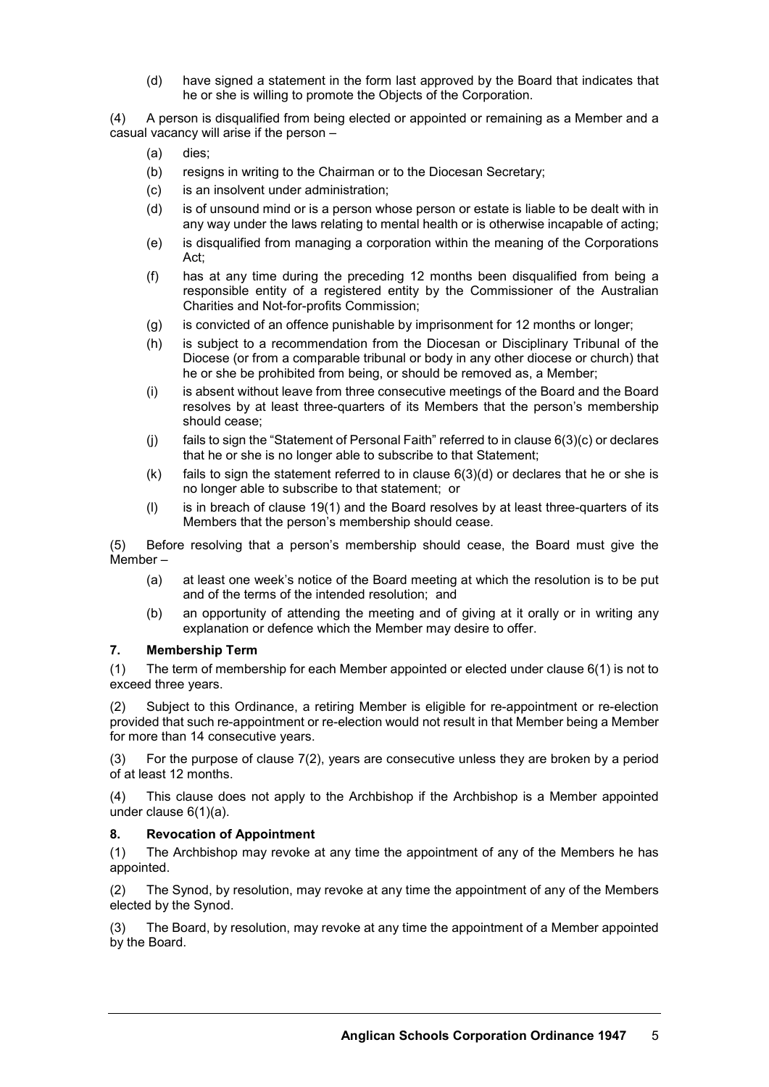(d) have signed a statement in the form last approved by the Board that indicates that he or she is willing to promote the Objects of the Corporation.

(4) A person is disqualified from being elected or appointed or remaining as a Member and a casual vacancy will arise if the person –

- (a) dies;
- (b) resigns in writing to the Chairman or to the Diocesan Secretary;
- (c) is an insolvent under administration;
- (d) is of unsound mind or is a person whose person or estate is liable to be dealt with in any way under the laws relating to mental health or is otherwise incapable of acting;
- (e) is disqualified from managing a corporation within the meaning of the Corporations Act;
- (f) has at any time during the preceding 12 months been disqualified from being a responsible entity of a registered entity by the Commissioner of the Australian Charities and Not-for-profits Commission;
- (g) is convicted of an offence punishable by imprisonment for 12 months or longer;
- (h) is subject to a recommendation from the Diocesan or Disciplinary Tribunal of the Diocese (or from a comparable tribunal or body in any other diocese or church) that he or she be prohibited from being, or should be removed as, a Member;
- (i) is absent without leave from three consecutive meetings of the Board and the Board resolves by at least three-quarters of its Members that the person's membership should cease;
- (j) fails to sign the "Statement of Personal Faith" referred to in clause 6(3)(c) or declares that he or she is no longer able to subscribe to that Statement;
- $(k)$  fails to sign the statement referred to in clause  $6(3)(d)$  or declares that he or she is no longer able to subscribe to that statement; or
- (l) is in breach of clause 19(1) and the Board resolves by at least three-quarters of its Members that the person's membership should cease.

(5) Before resolving that a person's membership should cease, the Board must give the Member –

- (a) at least one week's notice of the Board meeting at which the resolution is to be put and of the terms of the intended resolution; and
- (b) an opportunity of attending the meeting and of giving at it orally or in writing any explanation or defence which the Member may desire to offer.

#### **7. Membership Term**

(1) The term of membership for each Member appointed or elected under clause 6(1) is not to exceed three years.

(2) Subject to this Ordinance, a retiring Member is eligible for re-appointment or re-election provided that such re-appointment or re-election would not result in that Member being a Member for more than 14 consecutive years.

(3) For the purpose of clause 7(2), years are consecutive unless they are broken by a period of at least 12 months.

(4) This clause does not apply to the Archbishop if the Archbishop is a Member appointed under clause 6(1)(a).

#### **8. Revocation of Appointment**

(1) The Archbishop may revoke at any time the appointment of any of the Members he has appointed.

(2) The Synod, by resolution, may revoke at any time the appointment of any of the Members elected by the Synod.

(3) The Board, by resolution, may revoke at any time the appointment of a Member appointed by the Board.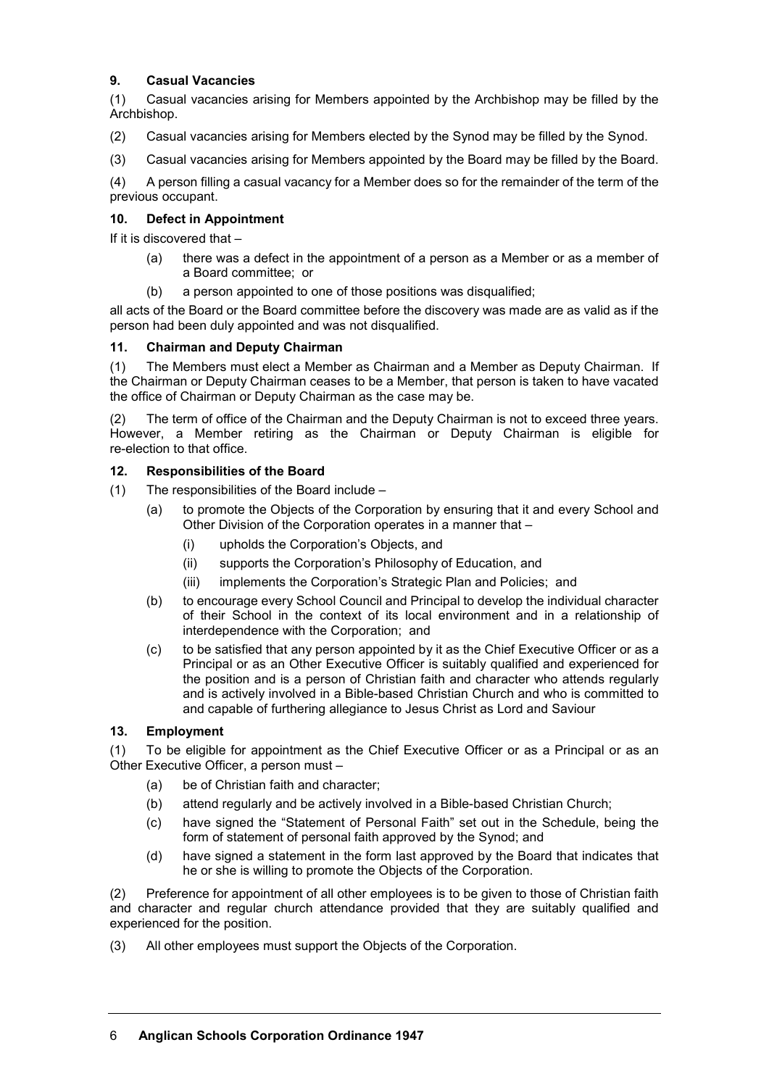## **9. Casual Vacancies**

(1) Casual vacancies arising for Members appointed by the Archbishop may be filled by the Archbishop.

- (2) Casual vacancies arising for Members elected by the Synod may be filled by the Synod.
- (3) Casual vacancies arising for Members appointed by the Board may be filled by the Board.

(4) A person filling a casual vacancy for a Member does so for the remainder of the term of the previous occupant.

## **10. Defect in Appointment**

If it is discovered that –

- (a) there was a defect in the appointment of a person as a Member or as a member of a Board committee; or
- (b) a person appointed to one of those positions was disqualified;

all acts of the Board or the Board committee before the discovery was made are as valid as if the person had been duly appointed and was not disqualified.

#### **11. Chairman and Deputy Chairman**

(1) The Members must elect a Member as Chairman and a Member as Deputy Chairman. If the Chairman or Deputy Chairman ceases to be a Member, that person is taken to have vacated the office of Chairman or Deputy Chairman as the case may be.

(2) The term of office of the Chairman and the Deputy Chairman is not to exceed three years. However, a Member retiring as the Chairman or Deputy Chairman is eligible for re-election to that office.

#### **12. Responsibilities of the Board**

- (1) The responsibilities of the Board include
	- (a) to promote the Objects of the Corporation by ensuring that it and every School and Other Division of the Corporation operates in a manner that –
		- (i) upholds the Corporation's Objects, and
		- (ii) supports the Corporation's Philosophy of Education, and
		- (iii) implements the Corporation's Strategic Plan and Policies; and
	- (b) to encourage every School Council and Principal to develop the individual character of their School in the context of its local environment and in a relationship of interdependence with the Corporation; and
	- (c) to be satisfied that any person appointed by it as the Chief Executive Officer or as a Principal or as an Other Executive Officer is suitably qualified and experienced for the position and is a person of Christian faith and character who attends regularly and is actively involved in a Bible-based Christian Church and who is committed to and capable of furthering allegiance to Jesus Christ as Lord and Saviour

## **13. Employment**

(1) To be eligible for appointment as the Chief Executive Officer or as a Principal or as an Other Executive Officer, a person must –

- (a) be of Christian faith and character;
- (b) attend regularly and be actively involved in a Bible-based Christian Church;
- (c) have signed the "Statement of Personal Faith" set out in the Schedule, being the form of statement of personal faith approved by the Synod; and
- (d) have signed a statement in the form last approved by the Board that indicates that he or she is willing to promote the Objects of the Corporation.

(2) Preference for appointment of all other employees is to be given to those of Christian faith and character and regular church attendance provided that they are suitably qualified and experienced for the position.

(3) All other employees must support the Objects of the Corporation.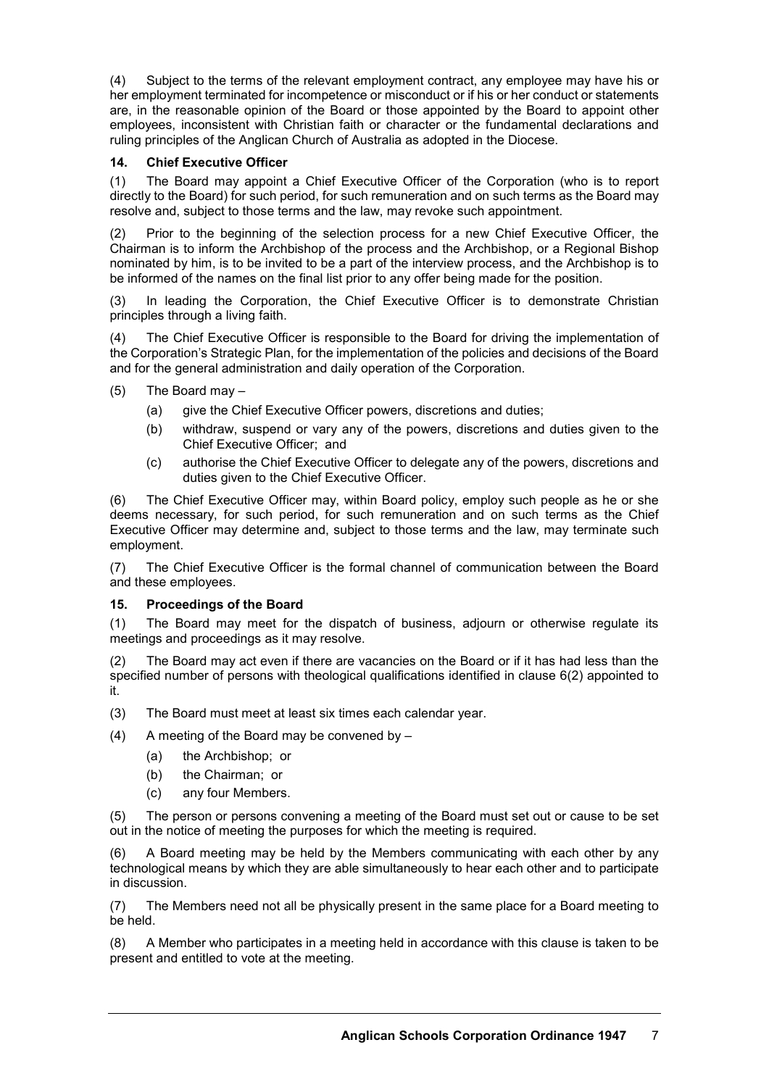(4) Subject to the terms of the relevant employment contract, any employee may have his or her employment terminated for incompetence or misconduct or if his or her conduct or statements are, in the reasonable opinion of the Board or those appointed by the Board to appoint other employees, inconsistent with Christian faith or character or the fundamental declarations and ruling principles of the Anglican Church of Australia as adopted in the Diocese.

# **14. Chief Executive Officer**

(1) The Board may appoint a Chief Executive Officer of the Corporation (who is to report directly to the Board) for such period, for such remuneration and on such terms as the Board may resolve and, subject to those terms and the law, may revoke such appointment.

(2) Prior to the beginning of the selection process for a new Chief Executive Officer, the Chairman is to inform the Archbishop of the process and the Archbishop, or a Regional Bishop nominated by him, is to be invited to be a part of the interview process, and the Archbishop is to be informed of the names on the final list prior to any offer being made for the position.

(3) In leading the Corporation, the Chief Executive Officer is to demonstrate Christian principles through a living faith.

(4) The Chief Executive Officer is responsible to the Board for driving the implementation of the Corporation's Strategic Plan, for the implementation of the policies and decisions of the Board and for the general administration and daily operation of the Corporation.

- (5) The Board may
	- (a) give the Chief Executive Officer powers, discretions and duties;
	- (b) withdraw, suspend or vary any of the powers, discretions and duties given to the Chief Executive Officer; and
	- (c) authorise the Chief Executive Officer to delegate any of the powers, discretions and duties given to the Chief Executive Officer.

(6) The Chief Executive Officer may, within Board policy, employ such people as he or she deems necessary, for such period, for such remuneration and on such terms as the Chief Executive Officer may determine and, subject to those terms and the law, may terminate such employment.

(7) The Chief Executive Officer is the formal channel of communication between the Board and these employees.

#### **15. Proceedings of the Board**

(1) The Board may meet for the dispatch of business, adjourn or otherwise regulate its meetings and proceedings as it may resolve.

(2) The Board may act even if there are vacancies on the Board or if it has had less than the specified number of persons with theological qualifications identified in clause 6(2) appointed to it.

- (3) The Board must meet at least six times each calendar year.
- (4) A meeting of the Board may be convened by
	- (a) the Archbishop; or
	- (b) the Chairman; or
	- (c) any four Members.

(5) The person or persons convening a meeting of the Board must set out or cause to be set out in the notice of meeting the purposes for which the meeting is required.

(6) A Board meeting may be held by the Members communicating with each other by any technological means by which they are able simultaneously to hear each other and to participate in discussion.

(7) The Members need not all be physically present in the same place for a Board meeting to be held.

(8) A Member who participates in a meeting held in accordance with this clause is taken to be present and entitled to vote at the meeting.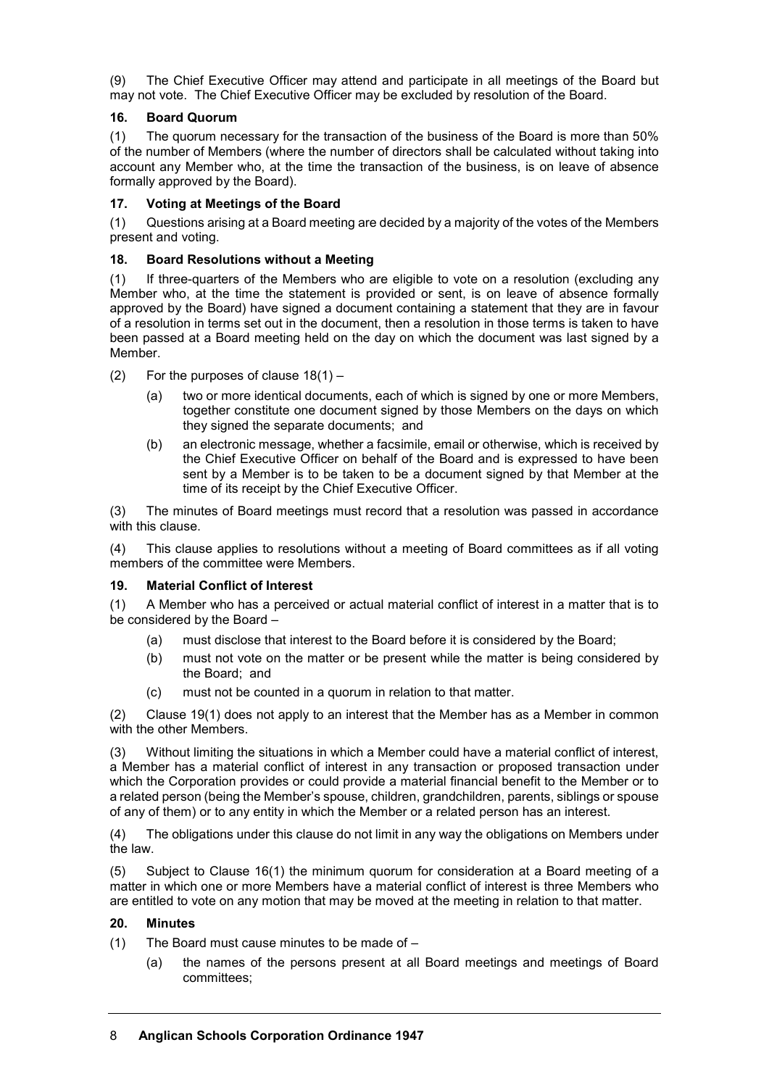(9) The Chief Executive Officer may attend and participate in all meetings of the Board but may not vote. The Chief Executive Officer may be excluded by resolution of the Board.

# **16. Board Quorum**

(1) The quorum necessary for the transaction of the business of the Board is more than 50% of the number of Members (where the number of directors shall be calculated without taking into account any Member who, at the time the transaction of the business, is on leave of absence formally approved by the Board).

## **17. Voting at Meetings of the Board**

(1) Questions arising at a Board meeting are decided by a majority of the votes of the Members present and voting.

## **18. Board Resolutions without a Meeting**

(1) If three-quarters of the Members who are eligible to vote on a resolution (excluding any Member who, at the time the statement is provided or sent, is on leave of absence formally approved by the Board) have signed a document containing a statement that they are in favour of a resolution in terms set out in the document, then a resolution in those terms is taken to have been passed at a Board meeting held on the day on which the document was last signed by a Member.

- (2) For the purposes of clause  $18(1)$ 
	- (a) two or more identical documents, each of which is signed by one or more Members, together constitute one document signed by those Members on the days on which they signed the separate documents; and
	- (b) an electronic message, whether a facsimile, email or otherwise, which is received by the Chief Executive Officer on behalf of the Board and is expressed to have been sent by a Member is to be taken to be a document signed by that Member at the time of its receipt by the Chief Executive Officer.

(3) The minutes of Board meetings must record that a resolution was passed in accordance with this clause.

(4) This clause applies to resolutions without a meeting of Board committees as if all voting members of the committee were Members.

## **19. Material Conflict of Interest**

(1) A Member who has a perceived or actual material conflict of interest in a matter that is to be considered by the Board –

- (a) must disclose that interest to the Board before it is considered by the Board;
- (b) must not vote on the matter or be present while the matter is being considered by the Board; and
- (c) must not be counted in a quorum in relation to that matter.

(2) Clause 19(1) does not apply to an interest that the Member has as a Member in common with the other Members.

(3) Without limiting the situations in which a Member could have a material conflict of interest, a Member has a material conflict of interest in any transaction or proposed transaction under which the Corporation provides or could provide a material financial benefit to the Member or to a related person (being the Member's spouse, children, grandchildren, parents, siblings or spouse of any of them) or to any entity in which the Member or a related person has an interest.

(4) The obligations under this clause do not limit in any way the obligations on Members under the law.

(5) Subject to Clause 16(1) the minimum quorum for consideration at a Board meeting of a matter in which one or more Members have a material conflict of interest is three Members who are entitled to vote on any motion that may be moved at the meeting in relation to that matter.

#### **20. Minutes**

(1) The Board must cause minutes to be made of –

(a) the names of the persons present at all Board meetings and meetings of Board committees;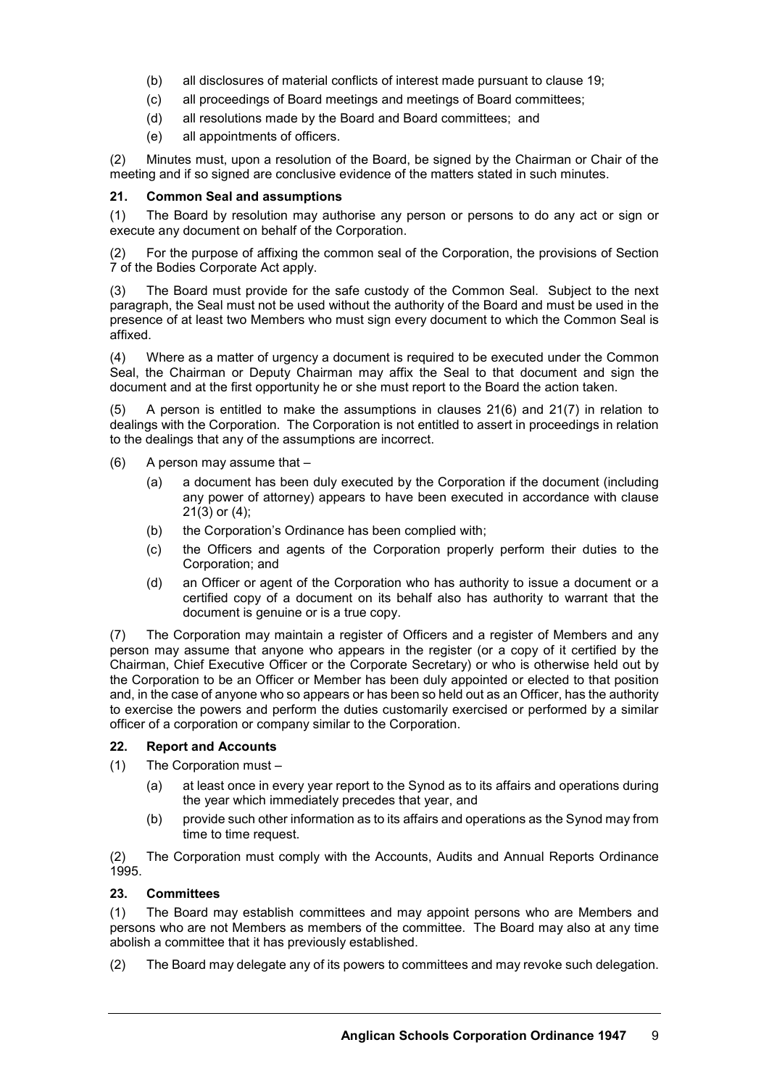- (b) all disclosures of material conflicts of interest made pursuant to clause 19;
- (c) all proceedings of Board meetings and meetings of Board committees;
- (d) all resolutions made by the Board and Board committees; and
- (e) all appointments of officers.

(2) Minutes must, upon a resolution of the Board, be signed by the Chairman or Chair of the meeting and if so signed are conclusive evidence of the matters stated in such minutes.

#### **21. Common Seal and assumptions**

(1) The Board by resolution may authorise any person or persons to do any act or sign or execute any document on behalf of the Corporation.

(2) For the purpose of affixing the common seal of the Corporation, the provisions of Section 7 of the Bodies Corporate Act apply.

(3) The Board must provide for the safe custody of the Common Seal. Subject to the next paragraph, the Seal must not be used without the authority of the Board and must be used in the presence of at least two Members who must sign every document to which the Common Seal is affixed.

(4) Where as a matter of urgency a document is required to be executed under the Common Seal, the Chairman or Deputy Chairman may affix the Seal to that document and sign the document and at the first opportunity he or she must report to the Board the action taken.

(5) A person is entitled to make the assumptions in clauses 21(6) and 21(7) in relation to dealings with the Corporation. The Corporation is not entitled to assert in proceedings in relation to the dealings that any of the assumptions are incorrect.

- (6) A person may assume that
	- (a) a document has been duly executed by the Corporation if the document (including any power of attorney) appears to have been executed in accordance with clause 21(3) or (4);
	- (b) the Corporation's Ordinance has been complied with;
	- (c) the Officers and agents of the Corporation properly perform their duties to the Corporation; and
	- (d) an Officer or agent of the Corporation who has authority to issue a document or a certified copy of a document on its behalf also has authority to warrant that the document is genuine or is a true copy.

(7) The Corporation may maintain a register of Officers and a register of Members and any person may assume that anyone who appears in the register (or a copy of it certified by the Chairman, Chief Executive Officer or the Corporate Secretary) or who is otherwise held out by the Corporation to be an Officer or Member has been duly appointed or elected to that position and, in the case of anyone who so appears or has been so held out as an Officer, has the authority to exercise the powers and perform the duties customarily exercised or performed by a similar officer of a corporation or company similar to the Corporation.

#### **22. Report and Accounts**

- (1) The Corporation must
	- (a) at least once in every year report to the Synod as to its affairs and operations during the year which immediately precedes that year, and
	- (b) provide such other information as to its affairs and operations as the Synod may from time to time request.

(2) The Corporation must comply with the Accounts, Audits and Annual Reports Ordinance 1995.

#### **23. Committees**

(1) The Board may establish committees and may appoint persons who are Members and persons who are not Members as members of the committee. The Board may also at any time abolish a committee that it has previously established.

(2) The Board may delegate any of its powers to committees and may revoke such delegation.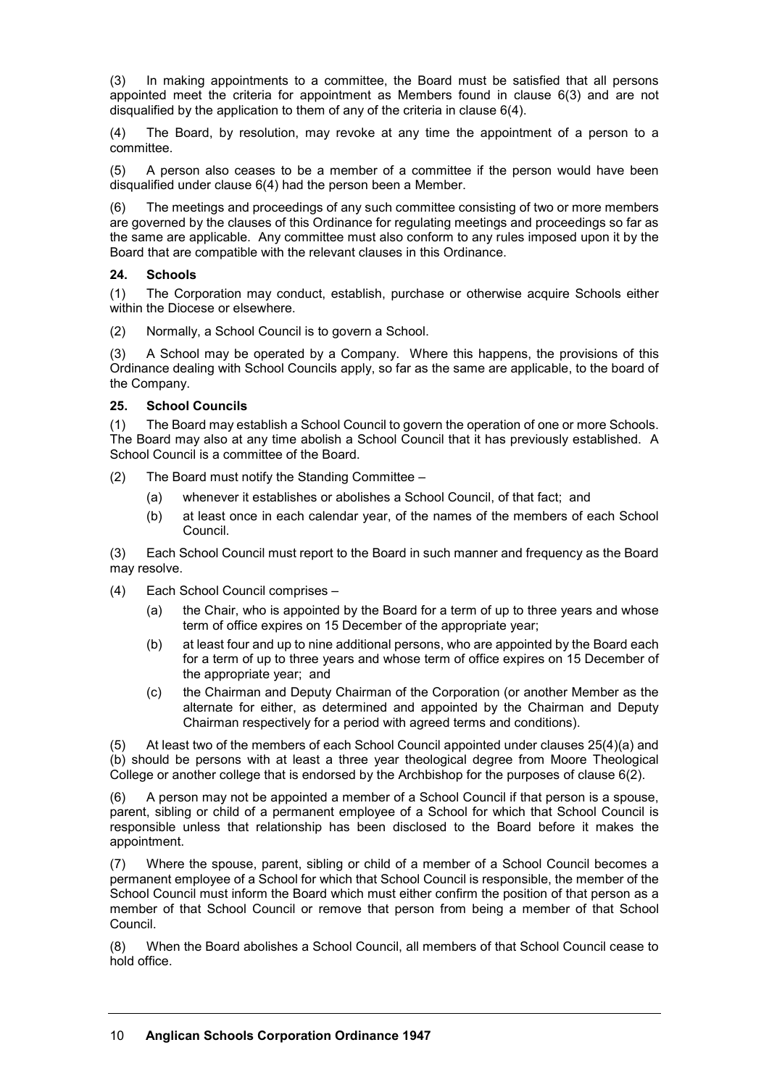(3) In making appointments to a committee, the Board must be satisfied that all persons appointed meet the criteria for appointment as Members found in clause 6(3) and are not disqualified by the application to them of any of the criteria in clause 6(4).

(4) The Board, by resolution, may revoke at any time the appointment of a person to a committee.

(5) A person also ceases to be a member of a committee if the person would have been disqualified under clause 6(4) had the person been a Member.

(6) The meetings and proceedings of any such committee consisting of two or more members are governed by the clauses of this Ordinance for regulating meetings and proceedings so far as the same are applicable. Any committee must also conform to any rules imposed upon it by the Board that are compatible with the relevant clauses in this Ordinance.

#### **24. Schools**

(1) The Corporation may conduct, establish, purchase or otherwise acquire Schools either within the Diocese or elsewhere.

(2) Normally, a School Council is to govern a School.

(3) A School may be operated by a Company. Where this happens, the provisions of this Ordinance dealing with School Councils apply, so far as the same are applicable, to the board of the Company.

#### **25. School Councils**

(1) The Board may establish a School Council to govern the operation of one or more Schools. The Board may also at any time abolish a School Council that it has previously established. A School Council is a committee of the Board.

(2) The Board must notify the Standing Committee –

- (a) whenever it establishes or abolishes a School Council, of that fact; and
- (b) at least once in each calendar year, of the names of the members of each School Council.

(3) Each School Council must report to the Board in such manner and frequency as the Board may resolve.

- (4) Each School Council comprises
	- (a) the Chair, who is appointed by the Board for a term of up to three years and whose term of office expires on 15 December of the appropriate year;
	- (b) at least four and up to nine additional persons, who are appointed by the Board each for a term of up to three years and whose term of office expires on 15 December of the appropriate year; and
	- (c) the Chairman and Deputy Chairman of the Corporation (or another Member as the alternate for either, as determined and appointed by the Chairman and Deputy Chairman respectively for a period with agreed terms and conditions).

(5) At least two of the members of each School Council appointed under clauses 25(4)(a) and (b) should be persons with at least a three year theological degree from Moore Theological College or another college that is endorsed by the Archbishop for the purposes of clause 6(2).

(6) A person may not be appointed a member of a School Council if that person is a spouse, parent, sibling or child of a permanent employee of a School for which that School Council is responsible unless that relationship has been disclosed to the Board before it makes the appointment.

(7) Where the spouse, parent, sibling or child of a member of a School Council becomes a permanent employee of a School for which that School Council is responsible, the member of the School Council must inform the Board which must either confirm the position of that person as a member of that School Council or remove that person from being a member of that School Council.

(8) When the Board abolishes a School Council, all members of that School Council cease to hold office.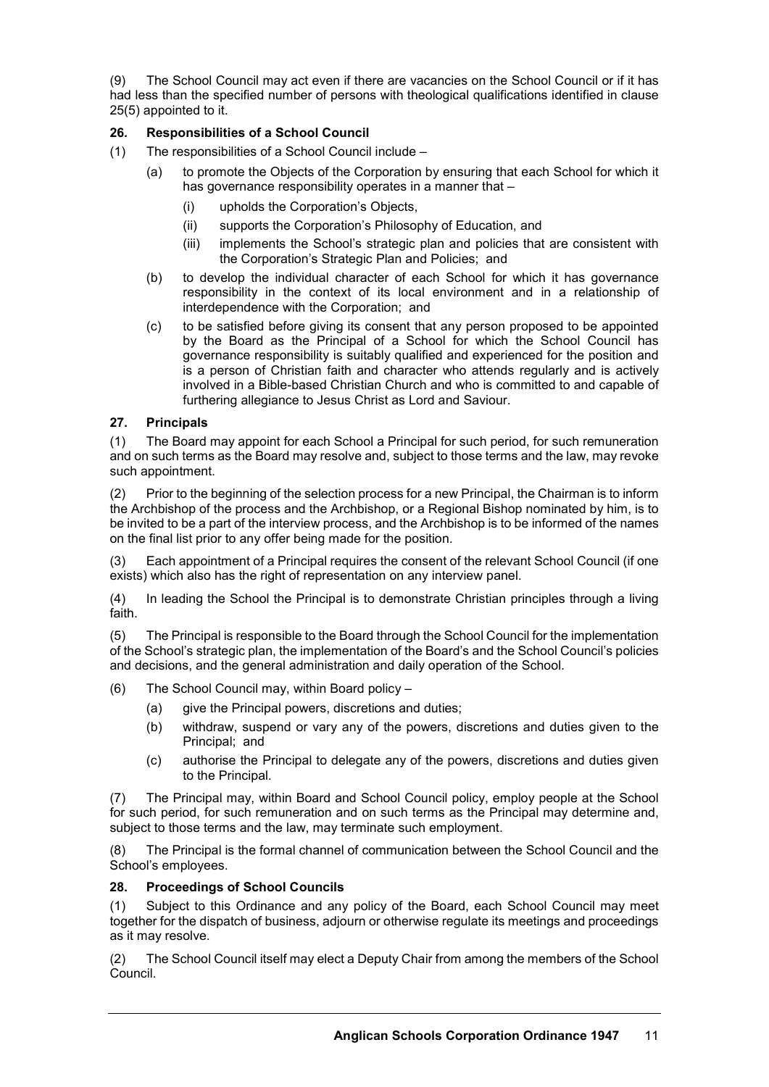(9) The School Council may act even if there are vacancies on the School Council or if it has had less than the specified number of persons with theological qualifications identified in clause 25(5) appointed to it.

# **26. Responsibilities of a School Council**

- (1) The responsibilities of a School Council include
	- (a) to promote the Objects of the Corporation by ensuring that each School for which it has governance responsibility operates in a manner that -
		- (i) upholds the Corporation's Objects,
		- (ii) supports the Corporation's Philosophy of Education, and
		- (iii) implements the School's strategic plan and policies that are consistent with the Corporation's Strategic Plan and Policies; and
	- (b) to develop the individual character of each School for which it has governance responsibility in the context of its local environment and in a relationship of interdependence with the Corporation; and
	- (c) to be satisfied before giving its consent that any person proposed to be appointed by the Board as the Principal of a School for which the School Council has governance responsibility is suitably qualified and experienced for the position and is a person of Christian faith and character who attends regularly and is actively involved in a Bible-based Christian Church and who is committed to and capable of furthering allegiance to Jesus Christ as Lord and Saviour.

# **27. Principals**

(1) The Board may appoint for each School a Principal for such period, for such remuneration and on such terms as the Board may resolve and, subject to those terms and the law, may revoke such appointment.

(2) Prior to the beginning of the selection process for a new Principal, the Chairman is to inform the Archbishop of the process and the Archbishop, or a Regional Bishop nominated by him, is to be invited to be a part of the interview process, and the Archbishop is to be informed of the names on the final list prior to any offer being made for the position.

(3) Each appointment of a Principal requires the consent of the relevant School Council (if one exists) which also has the right of representation on any interview panel.

(4) In leading the School the Principal is to demonstrate Christian principles through a living faith.

(5) The Principal is responsible to the Board through the School Council for the implementation of the School's strategic plan, the implementation of the Board's and the School Council's policies and decisions, and the general administration and daily operation of the School.

- (6) The School Council may, within Board policy
	- (a) give the Principal powers, discretions and duties;
	- (b) withdraw, suspend or vary any of the powers, discretions and duties given to the Principal; and
	- (c) authorise the Principal to delegate any of the powers, discretions and duties given to the Principal.

(7) The Principal may, within Board and School Council policy, employ people at the School for such period, for such remuneration and on such terms as the Principal may determine and, subject to those terms and the law, may terminate such employment.

(8) The Principal is the formal channel of communication between the School Council and the School's employees.

#### **28. Proceedings of School Councils**

(1) Subject to this Ordinance and any policy of the Board, each School Council may meet together for the dispatch of business, adjourn or otherwise regulate its meetings and proceedings as it may resolve.

(2) The School Council itself may elect a Deputy Chair from among the members of the School Council.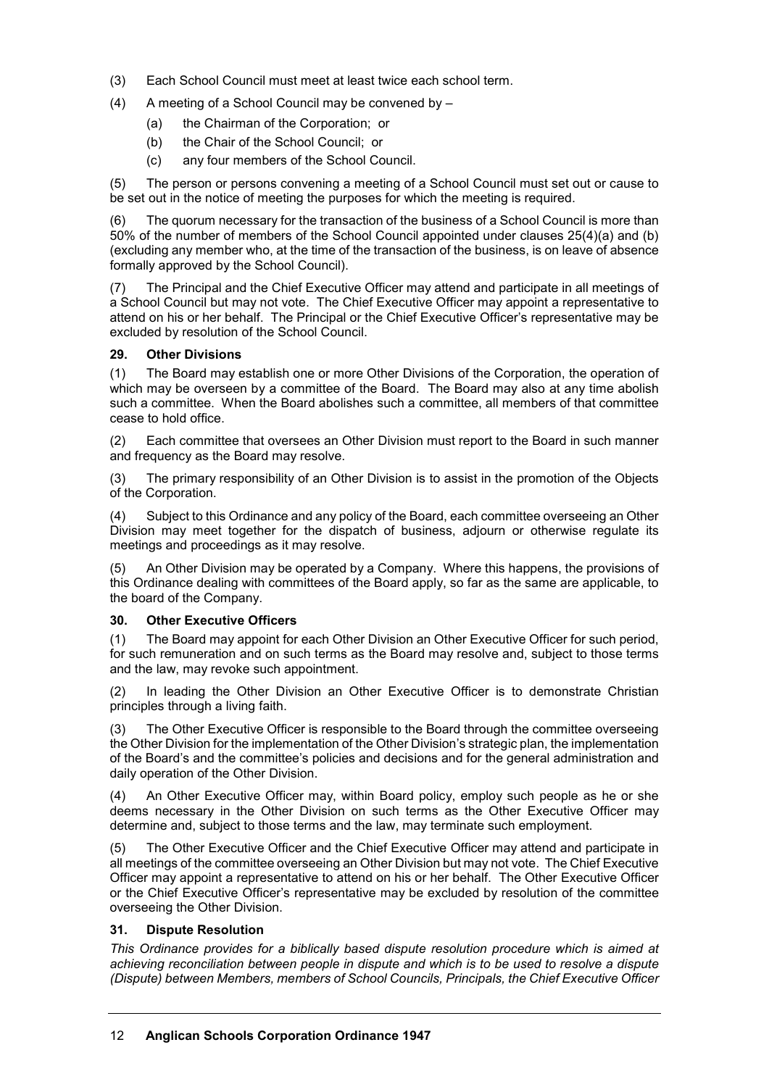- (3) Each School Council must meet at least twice each school term.
- (4) A meeting of a School Council may be convened by
	- (a) the Chairman of the Corporation; or
	- (b) the Chair of the School Council; or
	- (c) any four members of the School Council.

(5) The person or persons convening a meeting of a School Council must set out or cause to be set out in the notice of meeting the purposes for which the meeting is required.

(6) The quorum necessary for the transaction of the business of a School Council is more than 50% of the number of members of the School Council appointed under clauses 25(4)(a) and (b) (excluding any member who, at the time of the transaction of the business, is on leave of absence formally approved by the School Council).

(7) The Principal and the Chief Executive Officer may attend and participate in all meetings of a School Council but may not vote. The Chief Executive Officer may appoint a representative to attend on his or her behalf. The Principal or the Chief Executive Officer's representative may be excluded by resolution of the School Council.

#### **29. Other Divisions**

(1) The Board may establish one or more Other Divisions of the Corporation, the operation of which may be overseen by a committee of the Board. The Board may also at any time abolish such a committee. When the Board abolishes such a committee, all members of that committee cease to hold office.

(2) Each committee that oversees an Other Division must report to the Board in such manner and frequency as the Board may resolve.

(3) The primary responsibility of an Other Division is to assist in the promotion of the Objects of the Corporation.

(4) Subject to this Ordinance and any policy of the Board, each committee overseeing an Other Division may meet together for the dispatch of business, adjourn or otherwise regulate its meetings and proceedings as it may resolve.

An Other Division may be operated by a Company. Where this happens, the provisions of this Ordinance dealing with committees of the Board apply, so far as the same are applicable, to the board of the Company.

#### **30. Other Executive Officers**

(1) The Board may appoint for each Other Division an Other Executive Officer for such period, for such remuneration and on such terms as the Board may resolve and, subject to those terms and the law, may revoke such appointment.

(2) In leading the Other Division an Other Executive Officer is to demonstrate Christian principles through a living faith.

(3) The Other Executive Officer is responsible to the Board through the committee overseeing the Other Division for the implementation of the Other Division's strategic plan, the implementation of the Board's and the committee's policies and decisions and for the general administration and daily operation of the Other Division.

(4) An Other Executive Officer may, within Board policy, employ such people as he or she deems necessary in the Other Division on such terms as the Other Executive Officer may determine and, subject to those terms and the law, may terminate such employment.

(5) The Other Executive Officer and the Chief Executive Officer may attend and participate in all meetings of the committee overseeing an Other Division but may not vote. The Chief Executive Officer may appoint a representative to attend on his or her behalf. The Other Executive Officer or the Chief Executive Officer's representative may be excluded by resolution of the committee overseeing the Other Division.

#### **31. Dispute Resolution**

*This Ordinance provides for a biblically based dispute resolution procedure which is aimed at achieving reconciliation between people in dispute and which is to be used to resolve a dispute (Dispute) between Members, members of School Councils, Principals, the Chief Executive Officer*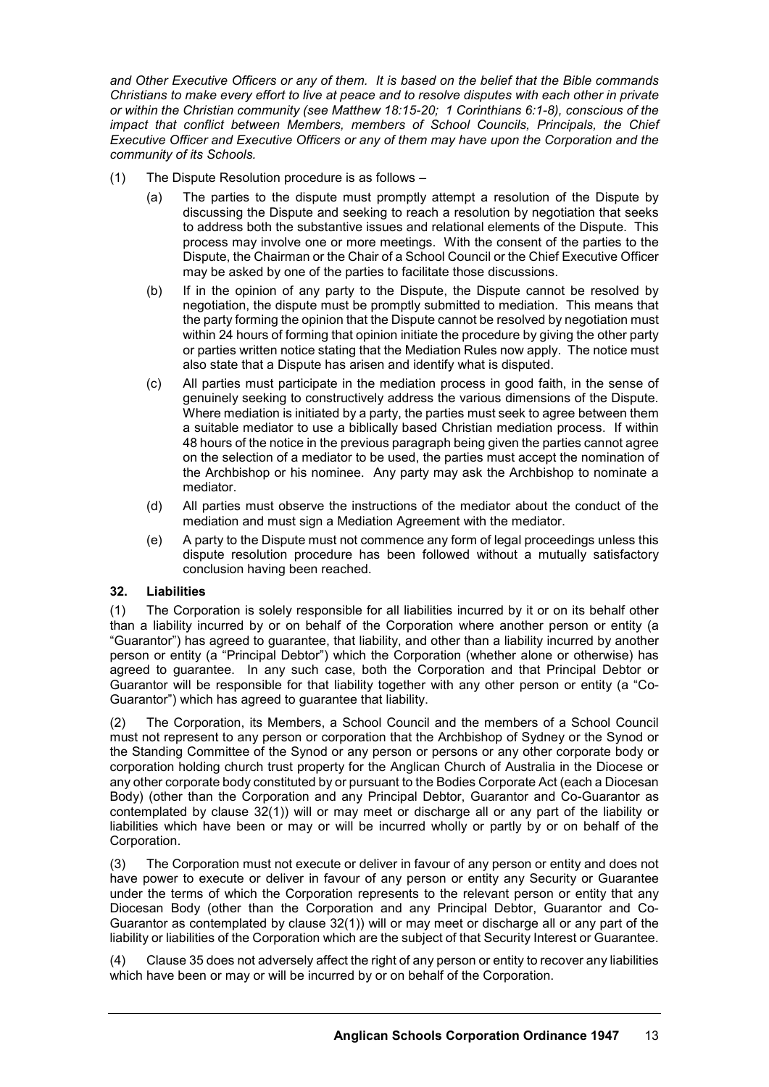*and Other Executive Officers or any of them. It is based on the belief that the Bible commands Christians to make every effort to live at peace and to resolve disputes with each other in private or within the Christian community (see Matthew 18:15-20; 1 Corinthians 6:1-8), conscious of the impact that conflict between Members, members of School Councils, Principals, the Chief Executive Officer and Executive Officers or any of them may have upon the Corporation and the community of its Schools.*

- (1) The Dispute Resolution procedure is as follows
	- (a) The parties to the dispute must promptly attempt a resolution of the Dispute by discussing the Dispute and seeking to reach a resolution by negotiation that seeks to address both the substantive issues and relational elements of the Dispute. This process may involve one or more meetings. With the consent of the parties to the Dispute, the Chairman or the Chair of a School Council or the Chief Executive Officer may be asked by one of the parties to facilitate those discussions.
	- (b) If in the opinion of any party to the Dispute, the Dispute cannot be resolved by negotiation, the dispute must be promptly submitted to mediation. This means that the party forming the opinion that the Dispute cannot be resolved by negotiation must within 24 hours of forming that opinion initiate the procedure by giving the other party or parties written notice stating that the Mediation Rules now apply. The notice must also state that a Dispute has arisen and identify what is disputed.
	- (c) All parties must participate in the mediation process in good faith, in the sense of genuinely seeking to constructively address the various dimensions of the Dispute. Where mediation is initiated by a party, the parties must seek to agree between them a suitable mediator to use a biblically based Christian mediation process. If within 48 hours of the notice in the previous paragraph being given the parties cannot agree on the selection of a mediator to be used, the parties must accept the nomination of the Archbishop or his nominee. Any party may ask the Archbishop to nominate a mediator.
	- (d) All parties must observe the instructions of the mediator about the conduct of the mediation and must sign a Mediation Agreement with the mediator.
	- (e) A party to the Dispute must not commence any form of legal proceedings unless this dispute resolution procedure has been followed without a mutually satisfactory conclusion having been reached.

#### **32. Liabilities**

(1) The Corporation is solely responsible for all liabilities incurred by it or on its behalf other than a liability incurred by or on behalf of the Corporation where another person or entity (a "Guarantor") has agreed to guarantee, that liability, and other than a liability incurred by another person or entity (a "Principal Debtor") which the Corporation (whether alone or otherwise) has agreed to guarantee. In any such case, both the Corporation and that Principal Debtor or Guarantor will be responsible for that liability together with any other person or entity (a "Co-Guarantor") which has agreed to guarantee that liability.

(2) The Corporation, its Members, a School Council and the members of a School Council must not represent to any person or corporation that the Archbishop of Sydney or the Synod or the Standing Committee of the Synod or any person or persons or any other corporate body or corporation holding church trust property for the Anglican Church of Australia in the Diocese or any other corporate body constituted by or pursuant to the Bodies Corporate Act (each a Diocesan Body) (other than the Corporation and any Principal Debtor, Guarantor and Co-Guarantor as contemplated by clause 32(1)) will or may meet or discharge all or any part of the liability or liabilities which have been or may or will be incurred wholly or partly by or on behalf of the Corporation.

(3) The Corporation must not execute or deliver in favour of any person or entity and does not have power to execute or deliver in favour of any person or entity any Security or Guarantee under the terms of which the Corporation represents to the relevant person or entity that any Diocesan Body (other than the Corporation and any Principal Debtor, Guarantor and Co-Guarantor as contemplated by clause 32(1)) will or may meet or discharge all or any part of the liability or liabilities of the Corporation which are the subject of that Security Interest or Guarantee.

(4) Clause 35 does not adversely affect the right of any person or entity to recover any liabilities which have been or may or will be incurred by or on behalf of the Corporation.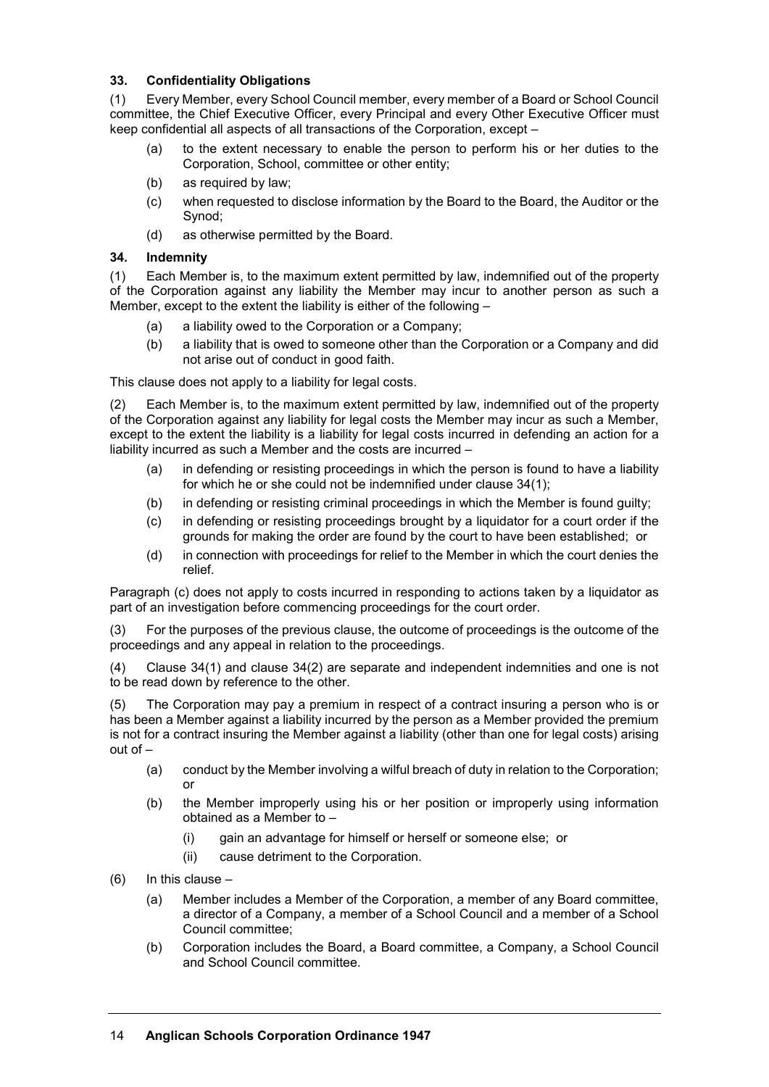## **33. Confidentiality Obligations**

(1) Every Member, every School Council member, every member of a Board or School Council committee, the Chief Executive Officer, every Principal and every Other Executive Officer must keep confidential all aspects of all transactions of the Corporation, except –

- (a) to the extent necessary to enable the person to perform his or her duties to the Corporation, School, committee or other entity;
- (b) as required by law;
- (c) when requested to disclose information by the Board to the Board, the Auditor or the Synod;
- (d) as otherwise permitted by the Board.

## **34. Indemnity**

(1) Each Member is, to the maximum extent permitted by law, indemnified out of the property of the Corporation against any liability the Member may incur to another person as such a Member, except to the extent the liability is either of the following –

- (a) a liability owed to the Corporation or a Company;
- (b) a liability that is owed to someone other than the Corporation or a Company and did not arise out of conduct in good faith.

This clause does not apply to a liability for legal costs.

(2) Each Member is, to the maximum extent permitted by law, indemnified out of the property of the Corporation against any liability for legal costs the Member may incur as such a Member, except to the extent the liability is a liability for legal costs incurred in defending an action for a liability incurred as such a Member and the costs are incurred –

- (a) in defending or resisting proceedings in which the person is found to have a liability for which he or she could not be indemnified under clause 34(1);
- (b) in defending or resisting criminal proceedings in which the Member is found guilty;
- (c) in defending or resisting proceedings brought by a liquidator for a court order if the grounds for making the order are found by the court to have been established; or
- (d) in connection with proceedings for relief to the Member in which the court denies the relief.

Paragraph (c) does not apply to costs incurred in responding to actions taken by a liquidator as part of an investigation before commencing proceedings for the court order.

(3) For the purposes of the previous clause, the outcome of proceedings is the outcome of the proceedings and any appeal in relation to the proceedings.

(4) Clause 34(1) and clause 34(2) are separate and independent indemnities and one is not to be read down by reference to the other.

(5) The Corporation may pay a premium in respect of a contract insuring a person who is or has been a Member against a liability incurred by the person as a Member provided the premium is not for a contract insuring the Member against a liability (other than one for legal costs) arising out of –

- (a) conduct by the Member involving a wilful breach of duty in relation to the Corporation; or
- (b) the Member improperly using his or her position or improperly using information obtained as a Member to –
	- (i) gain an advantage for himself or herself or someone else; or
	- (ii) cause detriment to the Corporation.
- $(6)$  In this clause
	- (a) Member includes a Member of the Corporation, a member of any Board committee, a director of a Company, a member of a School Council and a member of a School Council committee;
	- (b) Corporation includes the Board, a Board committee, a Company, a School Council and School Council committee.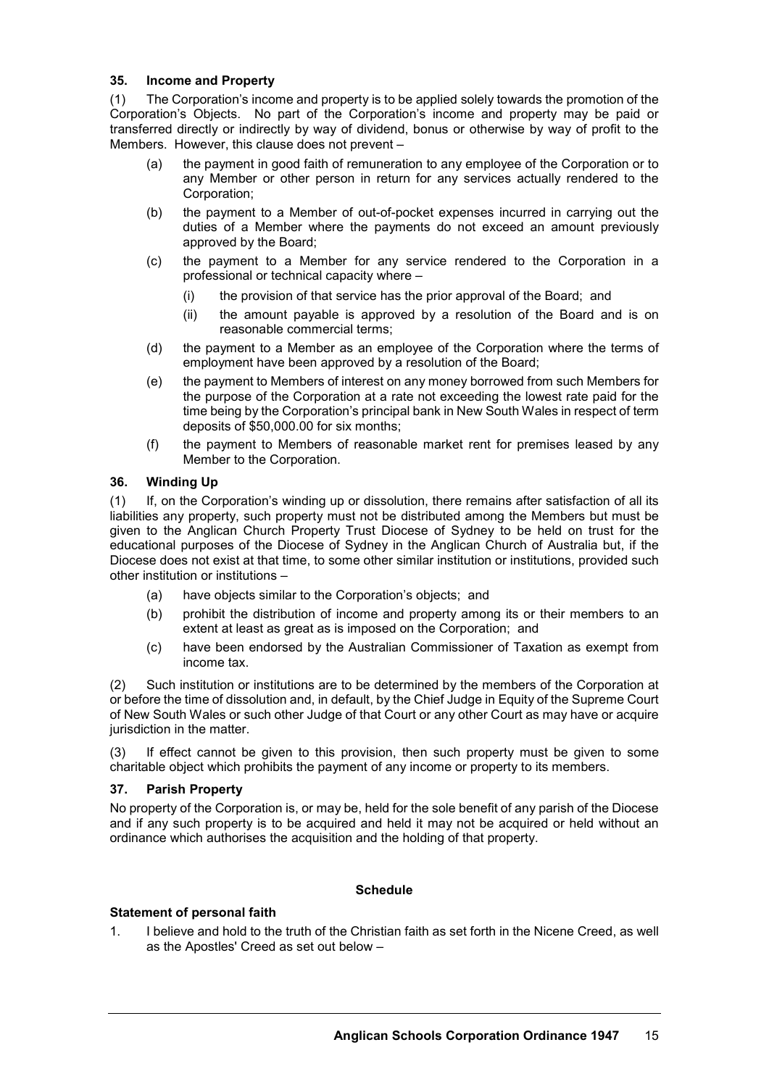#### **35. Income and Property**

(1) The Corporation's income and property is to be applied solely towards the promotion of the Corporation's Objects. No part of the Corporation's income and property may be paid or transferred directly or indirectly by way of dividend, bonus or otherwise by way of profit to the Members. However, this clause does not prevent –

- (a) the payment in good faith of remuneration to any employee of the Corporation or to any Member or other person in return for any services actually rendered to the Corporation;
- (b) the payment to a Member of out-of-pocket expenses incurred in carrying out the duties of a Member where the payments do not exceed an amount previously approved by the Board;
- (c) the payment to a Member for any service rendered to the Corporation in a professional or technical capacity where –
	- (i) the provision of that service has the prior approval of the Board; and
	- (ii) the amount payable is approved by a resolution of the Board and is on reasonable commercial terms;
- (d) the payment to a Member as an employee of the Corporation where the terms of employment have been approved by a resolution of the Board;
- (e) the payment to Members of interest on any money borrowed from such Members for the purpose of the Corporation at a rate not exceeding the lowest rate paid for the time being by the Corporation's principal bank in New South Wales in respect of term deposits of \$50,000.00 for six months;
- (f) the payment to Members of reasonable market rent for premises leased by any Member to the Corporation.

## **36. Winding Up**

(1) If, on the Corporation's winding up or dissolution, there remains after satisfaction of all its liabilities any property, such property must not be distributed among the Members but must be given to the Anglican Church Property Trust Diocese of Sydney to be held on trust for the educational purposes of the Diocese of Sydney in the Anglican Church of Australia but, if the Diocese does not exist at that time, to some other similar institution or institutions, provided such other institution or institutions –

- (a) have objects similar to the Corporation's objects; and
- (b) prohibit the distribution of income and property among its or their members to an extent at least as great as is imposed on the Corporation; and
- (c) have been endorsed by the Australian Commissioner of Taxation as exempt from income tax.

(2) Such institution or institutions are to be determined by the members of the Corporation at or before the time of dissolution and, in default, by the Chief Judge in Equity of the Supreme Court of New South Wales or such other Judge of that Court or any other Court as may have or acquire jurisdiction in the matter.

(3) If effect cannot be given to this provision, then such property must be given to some charitable object which prohibits the payment of any income or property to its members.

## **37. Parish Property**

No property of the Corporation is, or may be, held for the sole benefit of any parish of the Diocese and if any such property is to be acquired and held it may not be acquired or held without an ordinance which authorises the acquisition and the holding of that property.

#### **Schedule**

#### **Statement of personal faith**

1. I believe and hold to the truth of the Christian faith as set forth in the Nicene Creed, as well as the Apostles' Creed as set out below –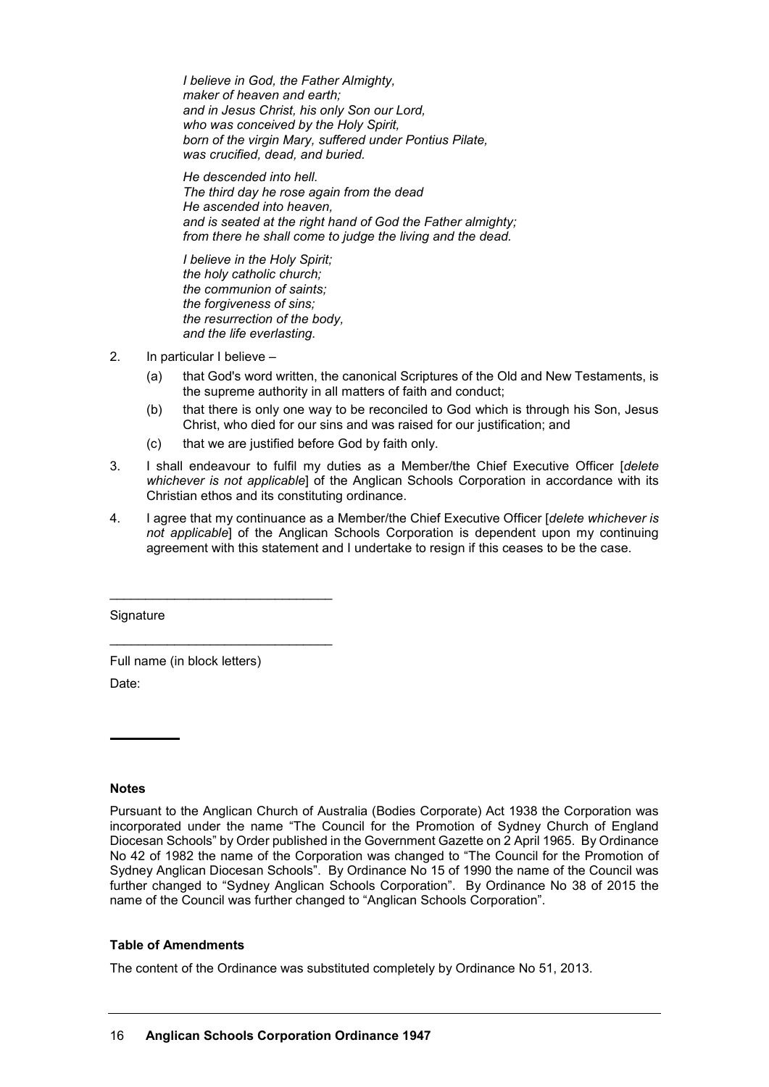*I believe in God, the Father Almighty, maker of heaven and earth; and in Jesus Christ, his only Son our Lord, who was conceived by the Holy Spirit, born of the virgin Mary, suffered under Pontius Pilate, was crucified, dead, and buried.*

*He descended into hell. The third day he rose again from the dead He ascended into heaven, and is seated at the right hand of God the Father almighty; from there he shall come to judge the living and the dead.*

*I believe in the Holy Spirit; the holy catholic church; the communion of saints; the forgiveness of sins; the resurrection of the body, and the life everlasting.*

- 2. In particular I believe
	- (a) that God's word written, the canonical Scriptures of the Old and New Testaments, is the supreme authority in all matters of faith and conduct;
	- (b) that there is only one way to be reconciled to God which is through his Son, Jesus Christ, who died for our sins and was raised for our justification; and
	- (c) that we are justified before God by faith only.
- 3. I shall endeavour to fulfil my duties as a Member/the Chief Executive Officer [*delete whichever is not applicable*] of the Anglican Schools Corporation in accordance with its Christian ethos and its constituting ordinance.
- 4. I agree that my continuance as a Member/the Chief Executive Officer [*delete whichever is not applicable*] of the Anglican Schools Corporation is dependent upon my continuing agreement with this statement and I undertake to resign if this ceases to be the case.

**Signature** 

Full name (in block letters) Date:

\_\_\_\_\_\_\_\_\_\_\_\_\_\_\_\_\_\_\_\_\_\_\_\_\_\_\_\_\_\_\_

\_\_\_\_\_\_\_\_\_\_\_\_\_\_\_\_\_\_\_\_\_\_\_\_\_\_\_\_\_\_\_

#### **Notes**

Pursuant to the Anglican Church of Australia (Bodies Corporate) Act 1938 the Corporation was incorporated under the name "The Council for the Promotion of Sydney Church of England Diocesan Schools" by Order published in the Government Gazette on 2 April 1965. By Ordinance No 42 of 1982 the name of the Corporation was changed to "The Council for the Promotion of Sydney Anglican Diocesan Schools". By Ordinance No 15 of 1990 the name of the Council was further changed to "Sydney Anglican Schools Corporation". By Ordinance No 38 of 2015 the name of the Council was further changed to "Anglican Schools Corporation".

#### **Table of Amendments**

The content of the Ordinance was substituted completely by Ordinance No 51, 2013.